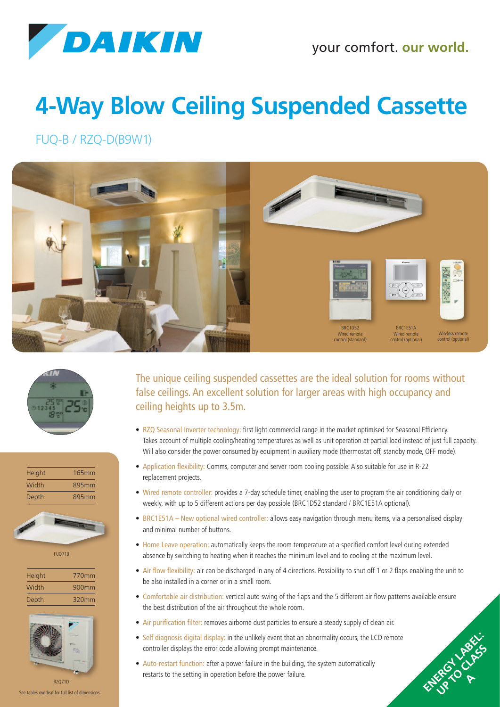

## **4-Way Blow Ceiling Suspended Cassette**

FUQ-B / RZQ-D(B9W1)









FUQ71B

| <b>Height</b> | 770mm |
|---------------|-------|
| Width         | 900mm |
| Depth         | 320mm |



See tables overleaf for full list of dimensions

The unique ceiling suspended cassettes are the ideal solution for rooms without false ceilings. An excellent solution for larger areas with high occupancy and ceiling heights up to 3.5m.

- RZQ Seasonal Inverter technology: first light commercial range in the market optimised for Seasonal Efficiency. Takes account of multiple cooling/heating temperatures as well as unit operation at partial load instead of just full capacity. Will also consider the power consumed by equipment in auxiliary mode (thermostat off, standby mode, OFF mode).
- Application flexibility: Comms, computer and server room cooling possible. Also suitable for use in R-22 replacement projects.
- Wired remote controller: provides a 7-day schedule timer, enabling the user to program the air conditioning daily or weekly, with up to 5 different actions per day possible (BRC1D52 standard / BRC1E51A optional).
- BRC1E51A New optional wired controller: allows easy navigation through menu items, via a personalised display and minimal number of buttons.
- Home Leave operation: automatically keeps the room temperature at a specified comfort level during extended absence by switching to heating when it reaches the minimum level and to cooling at the maximum level.
- Air flow flexibility: air can be discharged in any of 4 directions. Possibility to shut off 1 or 2 flaps enabling the unit to be also installed in a corner or in a small room.
- Comfortable air distribution: vertical auto swing of the flaps and the 5 different air flow patterns available ensure the best distribution of the air throughout the whole room.

ENERGY LABEL: UP TO CLASS P **A**

- Air purification filter: removes airborne dust particles to ensure a steady supply of clean air.
- Self diagnosis digital display: in the unlikely event that an abnormality occurs, the LCD remote controller displays the error code allowing prompt maintenance.
- Auto-restart function: after a power failure in the building, the system automatically restarts to the setting in operation before the power failure.